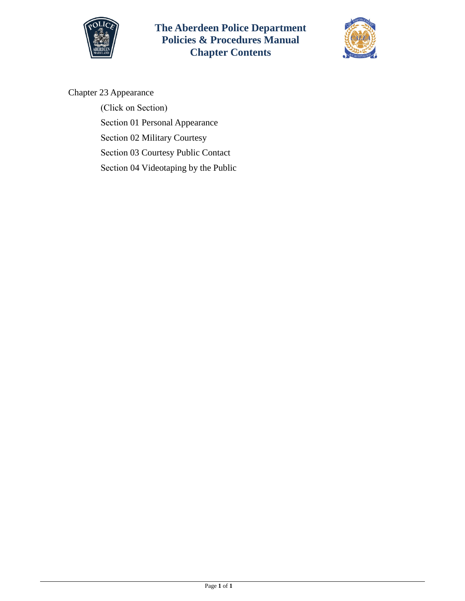



## Chapter 23 Appearance

(Click on Section)

Section [01 Personal Appearance](#page-1-0) 

Section 02 [Military Courtesy](#page-4-0) 

Section [03 Courtesy Public Contact](#page-5-0) 

Section [04 Videotaping by the Public](#page-10-0)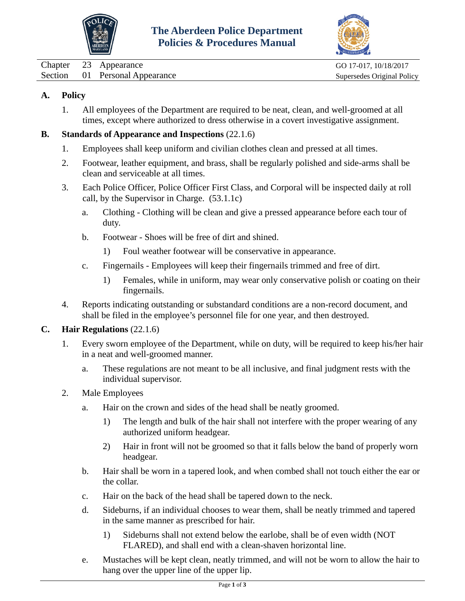



<span id="page-1-0"></span>Chapter 23 Appearance Go 17-017, 10/18/2017 Section 01 Personal Appearance Supersedes Original Policy

# **A. Policy**

1. All employees of the Department are required to be neat, clean, and well-groomed at all times, except where authorized to dress otherwise in a covert investigative assignment.

# **B. Standards of Appearance and Inspections** (22.1.6)

- 1. Employees shall keep uniform and civilian clothes clean and pressed at all times.
- 2. Footwear, leather equipment, and brass, shall be regularly polished and side-arms shall be clean and serviceable at all times.
- 3. Each Police Officer, Police Officer First Class, and Corporal will be inspected daily at roll call, by the Supervisor in Charge. (53.1.1c)
	- a. Clothing Clothing will be clean and give a pressed appearance before each tour of duty.
	- b. Footwear Shoes will be free of dirt and shined.
		- 1) Foul weather footwear will be conservative in appearance.
	- c. Fingernails Employees will keep their fingernails trimmed and free of dirt.
		- 1) Females, while in uniform, may wear only conservative polish or coating on their fingernails.
- 4. Reports indicating outstanding or substandard conditions are a non-record document, and shall be filed in the employee's personnel file for one year, and then destroyed.

# **C. Hair Regulations** (22.1.6)

- 1. Every sworn employee of the Department, while on duty, will be required to keep his/her hair in a neat and well-groomed manner.
	- a. These regulations are not meant to be all inclusive, and final judgment rests with the individual supervisor.
- 2. Male Employees
	- a. Hair on the crown and sides of the head shall be neatly groomed.
		- 1) The length and bulk of the hair shall not interfere with the proper wearing of any authorized uniform headgear.
		- 2) Hair in front will not be groomed so that it falls below the band of properly worn headgear.
	- b. Hair shall be worn in a tapered look, and when combed shall not touch either the ear or the collar.
	- c. Hair on the back of the head shall be tapered down to the neck.
	- d. Sideburns, if an individual chooses to wear them, shall be neatly trimmed and tapered in the same manner as prescribed for hair.
		- 1) Sideburns shall not extend below the earlobe, shall be of even width (NOT FLARED), and shall end with a clean-shaven horizontal line.
	- e. Mustaches will be kept clean, neatly trimmed, and will not be worn to allow the hair to hang over the upper line of the upper lip.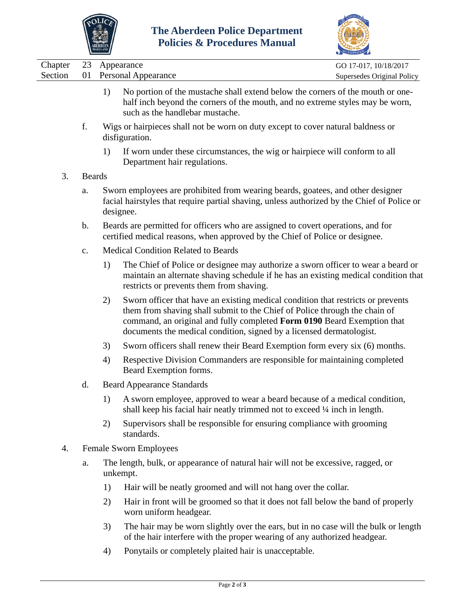



|         |                | <b>MARYLAND</b>                                                                                                                                                                             |                                                                                                                                                                                                                                                                                                                   |                            |  |  |  |
|---------|----------------|---------------------------------------------------------------------------------------------------------------------------------------------------------------------------------------------|-------------------------------------------------------------------------------------------------------------------------------------------------------------------------------------------------------------------------------------------------------------------------------------------------------------------|----------------------------|--|--|--|
| Chapter | 23             |                                                                                                                                                                                             | Appearance                                                                                                                                                                                                                                                                                                        | GO 17-017, 10/18/2017      |  |  |  |
| Section | 01             |                                                                                                                                                                                             | <b>Personal Appearance</b>                                                                                                                                                                                                                                                                                        | Supersedes Original Policy |  |  |  |
|         |                | 1)                                                                                                                                                                                          | No portion of the mustache shall extend below the corners of the mouth or one-<br>half inch beyond the corners of the mouth, and no extreme styles may be worn,<br>such as the handlebar mustache.                                                                                                                |                            |  |  |  |
|         | f.             |                                                                                                                                                                                             | Wigs or hairpieces shall not be worn on duty except to cover natural baldness or<br>disfiguration.                                                                                                                                                                                                                |                            |  |  |  |
|         |                | 1)                                                                                                                                                                                          | If worn under these circumstances, the wig or hairpiece will conform to all<br>Department hair regulations.                                                                                                                                                                                                       |                            |  |  |  |
| 3.      | <b>Beards</b>  |                                                                                                                                                                                             |                                                                                                                                                                                                                                                                                                                   |                            |  |  |  |
|         | a.             | Sworn employees are prohibited from wearing beards, goatees, and other designer<br>facial hairstyles that require partial shaving, unless authorized by the Chief of Police or<br>designee. |                                                                                                                                                                                                                                                                                                                   |                            |  |  |  |
|         | $\mathbf{b}$ . |                                                                                                                                                                                             | Beards are permitted for officers who are assigned to covert operations, and for<br>certified medical reasons, when approved by the Chief of Police or designee.                                                                                                                                                  |                            |  |  |  |
|         | $C_{\bullet}$  |                                                                                                                                                                                             | <b>Medical Condition Related to Beards</b>                                                                                                                                                                                                                                                                        |                            |  |  |  |
|         |                | 1)                                                                                                                                                                                          | The Chief of Police or designee may authorize a sworn officer to wear a beard or<br>maintain an alternate shaving schedule if he has an existing medical condition that<br>restricts or prevents them from shaving.                                                                                               |                            |  |  |  |
|         |                | 2)                                                                                                                                                                                          | Sworn officer that have an existing medical condition that restricts or prevents<br>them from shaving shall submit to the Chief of Police through the chain of<br>command, an original and fully completed Form 0190 Beard Exemption that<br>documents the medical condition, signed by a licensed dermatologist. |                            |  |  |  |
|         |                | 3)                                                                                                                                                                                          | Sworn officers shall renew their Beard Exemption form every six (6) months.                                                                                                                                                                                                                                       |                            |  |  |  |
|         |                | 4)                                                                                                                                                                                          | Respective Division Commanders are responsible for maintaining completed<br>Beard Exemption forms.                                                                                                                                                                                                                |                            |  |  |  |
|         | d.             |                                                                                                                                                                                             | <b>Beard Appearance Standards</b>                                                                                                                                                                                                                                                                                 |                            |  |  |  |
|         |                | 1)                                                                                                                                                                                          | A sworn employee, approved to wear a beard because of a medical condition,<br>shall keep his facial hair neatly trimmed not to exceed 1/4 inch in length.                                                                                                                                                         |                            |  |  |  |
|         |                | 2)                                                                                                                                                                                          | Supervisors shall be responsible for ensuring compliance with grooming<br>standards.                                                                                                                                                                                                                              |                            |  |  |  |
| 4.      |                |                                                                                                                                                                                             | <b>Female Sworn Employees</b>                                                                                                                                                                                                                                                                                     |                            |  |  |  |
|         | a.             |                                                                                                                                                                                             | The length, bulk, or appearance of natural hair will not be excessive, ragged, or<br>unkempt.                                                                                                                                                                                                                     |                            |  |  |  |
|         |                | 1)                                                                                                                                                                                          | Hair will be neatly groomed and will not hang over the collar.                                                                                                                                                                                                                                                    |                            |  |  |  |
|         |                | 2)                                                                                                                                                                                          | Hair in front will be groomed so that it does not fall below the band of properly<br>worn uniform headgear.                                                                                                                                                                                                       |                            |  |  |  |
|         |                |                                                                                                                                                                                             |                                                                                                                                                                                                                                                                                                                   |                            |  |  |  |

- 3) The hair may be worn slightly over the ears, but in no case will the bulk or length of the hair interfere with the proper wearing of any authorized headgear.
- 4) Ponytails or completely plaited hair is unacceptable.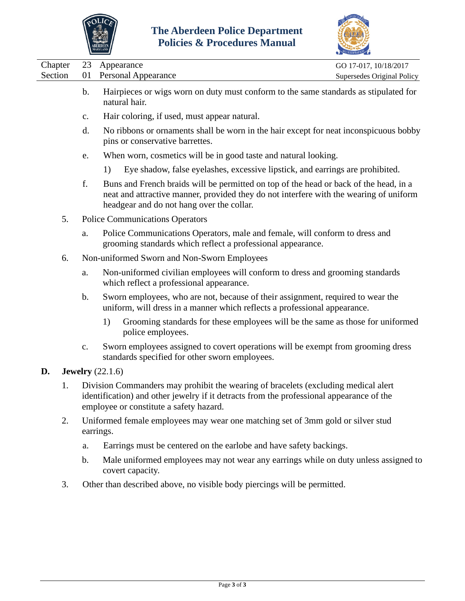



|         |                                                                       | <b>MARYLAND</b>                                                                                                                                                                                                              | ACCREDITATION              |  |  |  |  |  |
|---------|-----------------------------------------------------------------------|------------------------------------------------------------------------------------------------------------------------------------------------------------------------------------------------------------------------------|----------------------------|--|--|--|--|--|
| Chapter | 23                                                                    | Appearance                                                                                                                                                                                                                   | GO 17-017, 10/18/2017      |  |  |  |  |  |
| Section | 01                                                                    | <b>Personal Appearance</b>                                                                                                                                                                                                   | Supersedes Original Policy |  |  |  |  |  |
|         | b.                                                                    | Hairpieces or wigs worn on duty must conform to the same standards as stipulated for<br>natural hair.                                                                                                                        |                            |  |  |  |  |  |
|         | Hair coloring, if used, must appear natural.<br>$\mathbf{c}$ .        |                                                                                                                                                                                                                              |                            |  |  |  |  |  |
|         | d.                                                                    | No ribbons or ornaments shall be worn in the hair except for neat inconspicuous bobby<br>pins or conservative barrettes.                                                                                                     |                            |  |  |  |  |  |
|         | When worn, cosmetics will be in good taste and natural looking.<br>e. |                                                                                                                                                                                                                              |                            |  |  |  |  |  |
|         |                                                                       | Eye shadow, false eyelashes, excessive lipstick, and earrings are prohibited.<br>1)                                                                                                                                          |                            |  |  |  |  |  |
|         | f.                                                                    | Buns and French braids will be permitted on top of the head or back of the head, in a<br>neat and attractive manner, provided they do not interfere with the wearing of uniform<br>headgear and do not hang over the collar. |                            |  |  |  |  |  |
| 5.      |                                                                       | <b>Police Communications Operators</b>                                                                                                                                                                                       |                            |  |  |  |  |  |
|         | a.                                                                    | Police Communications Operators, male and female, will conform to dress and<br>grooming standards which reflect a professional appearance.                                                                                   |                            |  |  |  |  |  |
| 6.      |                                                                       | Non-uniformed Sworn and Non-Sworn Employees                                                                                                                                                                                  |                            |  |  |  |  |  |
|         | a.                                                                    | Non-uniformed civilian employees will conform to dress and grooming standards<br>which reflect a professional appearance.                                                                                                    |                            |  |  |  |  |  |
|         | b.                                                                    | Sworn employees, who are not, because of their assignment, required to wear the<br>uniform, will dress in a manner which reflects a professional appearance.                                                                 |                            |  |  |  |  |  |
|         |                                                                       | 1)<br>Grooming standards for these employees will be the same as those for uniformed<br>police employees.                                                                                                                    |                            |  |  |  |  |  |
|         | $\mathbf{C}$ .                                                        | Sworn employees assigned to covert operations will be exempt from grooming dress<br>standards specified for other sworn employees.                                                                                           |                            |  |  |  |  |  |
| D.      |                                                                       | Jewelry $(22.1.6)$                                                                                                                                                                                                           |                            |  |  |  |  |  |
| 1.      |                                                                       | Division Commanders may prohibit the wearing of bracelets (excluding medical alert<br>identification) and other jewelry if it detracts from the professional appearance of the<br>employee or constitute a safety hazard.    |                            |  |  |  |  |  |
| 2.      |                                                                       | Uniformed female employees may wear one matching set of 3mm gold or silver stud<br>earrings.                                                                                                                                 |                            |  |  |  |  |  |
|         | a.                                                                    | Earrings must be centered on the earlobe and have safety backings.                                                                                                                                                           |                            |  |  |  |  |  |
|         | $\mathbf b$ .                                                         | Male uniformed employees may not wear any earrings while on duty unless assigned to<br>covert capacity.                                                                                                                      |                            |  |  |  |  |  |
| 3.      |                                                                       | Other than described above, no visible body piercings will be permitted.                                                                                                                                                     |                            |  |  |  |  |  |
|         |                                                                       |                                                                                                                                                                                                                              |                            |  |  |  |  |  |
|         |                                                                       |                                                                                                                                                                                                                              |                            |  |  |  |  |  |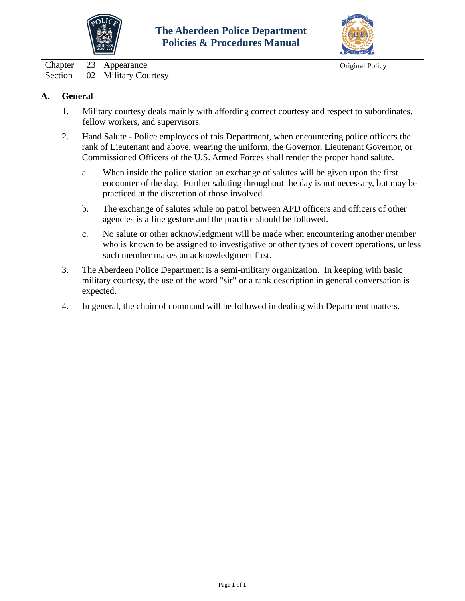



<span id="page-4-0"></span>Chapter 23 Appearance Original Policy Section 02 Military Courtesy

## **A. General**

- 1. Military courtesy deals mainly with affording correct courtesy and respect to subordinates, fellow workers, and supervisors.
- 2. Hand Salute Police employees of this Department, when encountering police officers the rank of Lieutenant and above, wearing the uniform, the Governor, Lieutenant Governor, or Commissioned Officers of the U.S. Armed Forces shall render the proper hand salute.
	- a. When inside the police station an exchange of salutes will be given upon the first encounter of the day. Further saluting throughout the day is not necessary, but may be practiced at the discretion of those involved.
	- b. The exchange of salutes while on patrol between APD officers and officers of other agencies is a fine gesture and the practice should be followed.
	- c. No salute or other acknowledgment will be made when encountering another member who is known to be assigned to investigative or other types of covert operations, unless such member makes an acknowledgment first.
- 3. The Aberdeen Police Department is a semi-military organization. In keeping with basic military courtesy, the use of the word "sir" or a rank description in general conversation is expected.
- 4. In general, the chain of command will be followed in dealing with Department matters.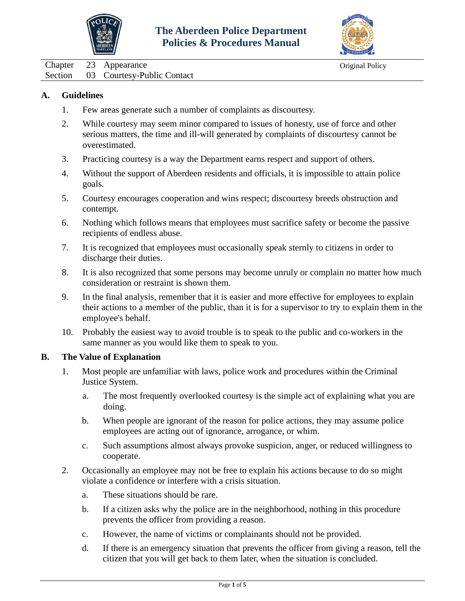



<span id="page-5-0"></span>Chapter 23 Appearance Original Policy Section 03 Courtesy-Public Contact

### **A. Guidelines**

- 1. Few areas generate such a number of complaints as discourtesy.
- 2. While courtesy may seem minor compared to issues of honesty, use of force and other serious matters, the time and ill-will generated by complaints of discourtesy cannot be overestimated.
- 3. Practicing courtesy is a way the Department earns respect and support of others.
- 4. Without the support of Aberdeen residents and officials, it is impossible to attain police goals.
- 5. Courtesy encourages cooperation and wins respect; discourtesy breeds obstruction and contempt.
- 6. Nothing which follows means that employees must sacrifice safety or become the passive recipients of endless abuse.
- 7. It is recognized that employees must occasionally speak sternly to citizens in order to discharge their duties.
- 8. It is also recognized that some persons may become unruly or complain no matter how much consideration or restraint is shown them.
- 9. In the final analysis, remember that it is easier and more effective for employees to explain their actions to a member of the public, than it is for a supervisor to try to explain them in the employee's behalf.
- 10. Probably the easiest way to avoid trouble is to speak to the public and co-workers in the same manner as you would like them to speak to you.

#### **B. The Value of Explanation**

- 1. Most people are unfamiliar with laws, police work and procedures within the Criminal Justice System.
	- a. The most frequently overlooked courtesy is the simple act of explaining what you are doing.
	- b. When people are ignorant of the reason for police actions, they may assume police employees are acting out of ignorance, arrogance, or whim.
	- c. Such assumptions almost always provoke suspicion, anger, or reduced willingness to cooperate.
- 2. Occasionally an employee may not be free to explain his actions because to do so might violate a confidence or interfere with a crisis situation.
	- a. These situations should be rare.
	- b. If a citizen asks why the police are in the neighborhood, nothing in this procedure prevents the officer from providing a reason.
	- c. However, the name of victims or complainants should not be provided.
	- d. If there is an emergency situation that prevents the officer from giving a reason, tell the citizen that you will get back to them later, when the situation is concluded.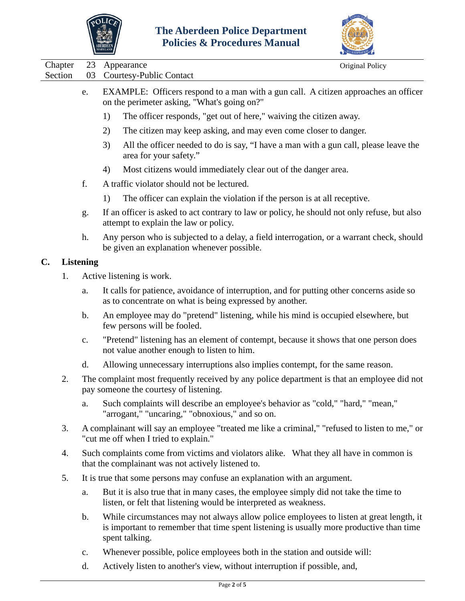



|                    |                                                                                                                                       |                                                                                                                                                                                                      | ACCREDITATION                                                                        |  |  |  |  |
|--------------------|---------------------------------------------------------------------------------------------------------------------------------------|------------------------------------------------------------------------------------------------------------------------------------------------------------------------------------------------------|--------------------------------------------------------------------------------------|--|--|--|--|
| Chapter<br>Section | 23<br>03                                                                                                                              | Appearance<br>Courtesy-Public Contact                                                                                                                                                                | Original Policy                                                                      |  |  |  |  |
|                    | e.                                                                                                                                    | EXAMPLE: Officers respond to a man with a gun call. A citizen approaches an officer<br>on the perimeter asking, "What's going on?"                                                                   |                                                                                      |  |  |  |  |
|                    |                                                                                                                                       | 1)<br>The officer responds, "get out of here," waiving the citizen away.                                                                                                                             |                                                                                      |  |  |  |  |
|                    |                                                                                                                                       | 2)<br>The citizen may keep asking, and may even come closer to danger.                                                                                                                               |                                                                                      |  |  |  |  |
|                    |                                                                                                                                       | 3)<br>area for your safety."                                                                                                                                                                         | All the officer needed to do is say, "I have a man with a gun call, please leave the |  |  |  |  |
|                    |                                                                                                                                       | Most citizens would immediately clear out of the danger area.<br>4)                                                                                                                                  |                                                                                      |  |  |  |  |
|                    | f.                                                                                                                                    | A traffic violator should not be lectured.                                                                                                                                                           |                                                                                      |  |  |  |  |
|                    |                                                                                                                                       | The officer can explain the violation if the person is at all receptive.<br>1)                                                                                                                       |                                                                                      |  |  |  |  |
|                    | g.                                                                                                                                    | If an officer is asked to act contrary to law or policy, he should not only refuse, but also<br>attempt to explain the law or policy.                                                                |                                                                                      |  |  |  |  |
|                    | h.                                                                                                                                    | Any person who is subjected to a delay, a field interrogation, or a warrant check, should<br>be given an explanation whenever possible.                                                              |                                                                                      |  |  |  |  |
| $\mathbf{C}$ .     | <b>Listening</b>                                                                                                                      |                                                                                                                                                                                                      |                                                                                      |  |  |  |  |
| 1.                 |                                                                                                                                       | Active listening is work.                                                                                                                                                                            |                                                                                      |  |  |  |  |
|                    | a.                                                                                                                                    | It calls for patience, avoidance of interruption, and for putting other concerns aside so<br>as to concentrate on what is being expressed by another.                                                |                                                                                      |  |  |  |  |
|                    | b.                                                                                                                                    | An employee may do "pretend" listening, while his mind is occupied elsewhere, but<br>few persons will be fooled.                                                                                     |                                                                                      |  |  |  |  |
|                    | c.                                                                                                                                    | "Pretend" listening has an element of contempt, because it shows that one person does<br>not value another enough to listen to him.                                                                  |                                                                                      |  |  |  |  |
|                    | d.                                                                                                                                    | Allowing unnecessary interruptions also implies contempt, for the same reason.                                                                                                                       |                                                                                      |  |  |  |  |
| 2.                 | The complaint most frequently received by any police department is that an employee did not<br>pay someone the courtesy of listening. |                                                                                                                                                                                                      |                                                                                      |  |  |  |  |
|                    | a.                                                                                                                                    | Such complaints will describe an employee's behavior as "cold," "hard," "mean,"<br>"arrogant," "uncaring," "obnoxious," and so on.                                                                   |                                                                                      |  |  |  |  |
| 3.                 |                                                                                                                                       | A complainant will say an employee "treated me like a criminal," "refused to listen to me," or<br>"cut me off when I tried to explain."                                                              |                                                                                      |  |  |  |  |
| 4.                 |                                                                                                                                       | Such complaints come from victims and violators alike. What they all have in common is<br>that the complainant was not actively listened to.                                                         |                                                                                      |  |  |  |  |
| 5.                 |                                                                                                                                       | It is true that some persons may confuse an explanation with an argument.                                                                                                                            |                                                                                      |  |  |  |  |
|                    | a.                                                                                                                                    | But it is also true that in many cases, the employee simply did not take the time to<br>listen, or felt that listening would be interpreted as weakness.                                             |                                                                                      |  |  |  |  |
|                    | b.                                                                                                                                    | While circumstances may not always allow police employees to listen at great length, it<br>is important to remember that time spent listening is usually more productive than time<br>spent talking. |                                                                                      |  |  |  |  |

- c. Whenever possible, police employees both in the station and outside will:
- d. Actively listen to another's view, without interruption if possible, and,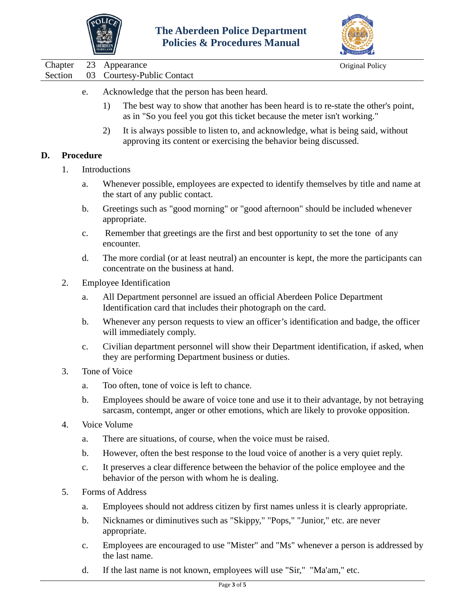



Chapter 23 Appearance Original Policy

- e. Acknowledge that the person has been heard.
	- 1) The best way to show that another has been heard is to re-state the other's point, as in "So you feel you got this ticket because the meter isn't working."
	- 2) It is always possible to listen to, and acknowledge, what is being said, without approving its content or exercising the behavior being discussed.

### **D. Procedure**

- 1. Introductions
	- a. Whenever possible, employees are expected to identify themselves by title and name at the start of any public contact.
	- b. Greetings such as "good morning" or "good afternoon" should be included whenever appropriate.
	- c. Remember that greetings are the first and best opportunity to set the tone of any encounter.
	- d. The more cordial (or at least neutral) an encounter is kept, the more the participants can concentrate on the business at hand.
- 2. Employee Identification
	- a. All Department personnel are issued an official Aberdeen Police Department Identification card that includes their photograph on the card.
	- b. Whenever any person requests to view an officer's identification and badge, the officer will immediately comply.
	- c. Civilian department personnel will show their Department identification, if asked, when they are performing Department business or duties.
- 3. Tone of Voice
	- a. Too often, tone of voice is left to chance.
	- b. Employees should be aware of voice tone and use it to their advantage, by not betraying sarcasm, contempt, anger or other emotions, which are likely to provoke opposition.
- 4. Voice Volume
	- a. There are situations, of course, when the voice must be raised.
	- b. However, often the best response to the loud voice of another is a very quiet reply.
	- c. It preserves a clear difference between the behavior of the police employee and the behavior of the person with whom he is dealing.
- 5. Forms of Address
	- a. Employees should not address citizen by first names unless it is clearly appropriate.
	- b. Nicknames or diminutives such as "Skippy," "Pops," "Junior," etc. are never appropriate.
	- c. Employees are encouraged to use "Mister" and "Ms" whenever a person is addressed by the last name.
	- d. If the last name is not known, employees will use "Sir," "Ma'am," etc.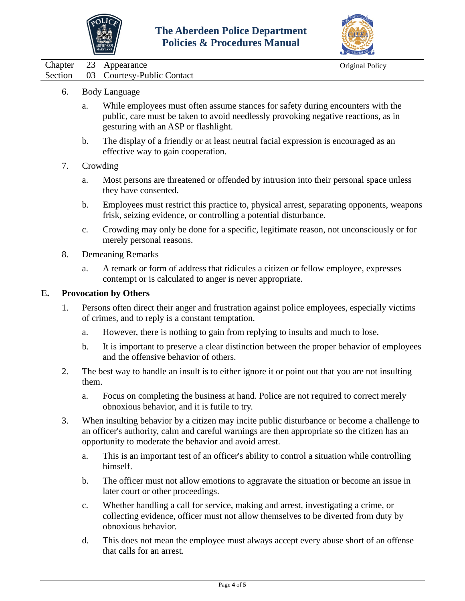



Chapter 23 Appearance Original Policy

- Section 03 Courtesy-Public Contact
	- 6. Body Language
		- a. While employees must often assume stances for safety during encounters with the public, care must be taken to avoid needlessly provoking negative reactions, as in gesturing with an ASP or flashlight.
		- b. The display of a friendly or at least neutral facial expression is encouraged as an effective way to gain cooperation.
	- 7. Crowding
		- a. Most persons are threatened or offended by intrusion into their personal space unless they have consented.
		- b. Employees must restrict this practice to, physical arrest, separating opponents, weapons frisk, seizing evidence, or controlling a potential disturbance.
		- c. Crowding may only be done for a specific, legitimate reason, not unconsciously or for merely personal reasons.
	- 8. Demeaning Remarks
		- a. A remark or form of address that ridicules a citizen or fellow employee, expresses contempt or is calculated to anger is never appropriate.

#### **E. Provocation by Others**

- 1. Persons often direct their anger and frustration against police employees, especially victims of crimes, and to reply is a constant temptation.
	- a. However, there is nothing to gain from replying to insults and much to lose.
	- b. It is important to preserve a clear distinction between the proper behavior of employees and the offensive behavior of others.
- 2. The best way to handle an insult is to either ignore it or point out that you are not insulting them.
	- a. Focus on completing the business at hand. Police are not required to correct merely obnoxious behavior, and it is futile to try.
- 3. When insulting behavior by a citizen may incite public disturbance or become a challenge to an officer's authority, calm and careful warnings are then appropriate so the citizen has an opportunity to moderate the behavior and avoid arrest.
	- a. This is an important test of an officer's ability to control a situation while controlling himself.
	- b. The officer must not allow emotions to aggravate the situation or become an issue in later court or other proceedings.
	- c. Whether handling a call for service, making and arrest, investigating a crime, or collecting evidence, officer must not allow themselves to be diverted from duty by obnoxious behavior.
	- d. This does not mean the employee must always accept every abuse short of an offense that calls for an arrest.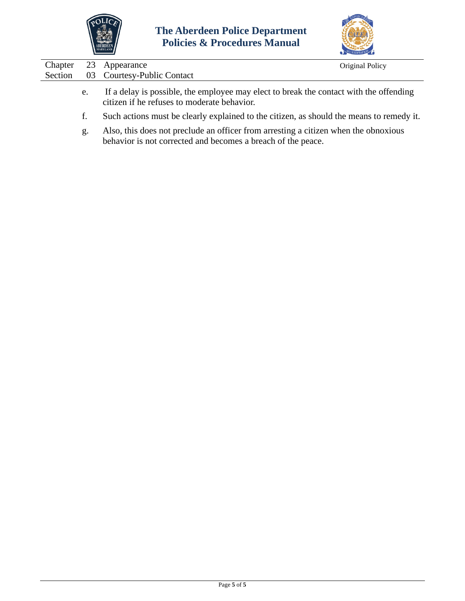



| Chapter | 23 | Appearance                                                                                                                                          | Original Policy |
|---------|----|-----------------------------------------------------------------------------------------------------------------------------------------------------|-----------------|
| Section | 03 | <b>Courtesy-Public Contact</b>                                                                                                                      |                 |
|         | e. | If a delay is possible, the employee may elect to break the contact with the offending<br>citizen if he refuses to moderate behavior.               |                 |
|         | f. | Such actions must be clearly explained to the citizen, as should the means to remedy it.                                                            |                 |
|         | g. | Also, this does not preclude an officer from arresting a citizen when the obnoxious<br>behavior is not corrected and becomes a breach of the peace. |                 |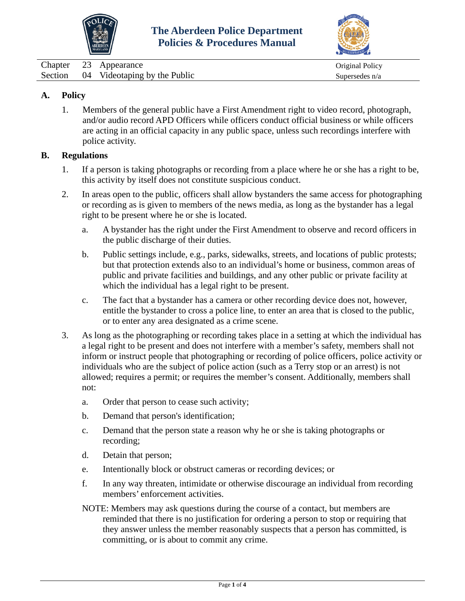



<span id="page-10-0"></span>

| Chapter | 23 Appearance                        | Original Policy |
|---------|--------------------------------------|-----------------|
|         | Section 04 Videotaping by the Public | Supersedes n/a  |

## **A. Policy**

1. Members of the general public have a First Amendment right to video record, photograph, and/or audio record APD Officers while officers conduct official business or while officers are acting in an official capacity in any public space, unless such recordings interfere with police activity.

### **B. Regulations**

- 1. If a person is taking photographs or recording from a place where he or she has a right to be, this activity by itself does not constitute suspicious conduct.
- 2. In areas open to the public, officers shall allow bystanders the same access for photographing or recording as is given to members of the news media, as long as the bystander has a legal right to be present where he or she is located.
	- a. A bystander has the right under the First Amendment to observe and record officers in the public discharge of their duties.
	- b. Public settings include, e.g., parks, sidewalks, streets, and locations of public protests; but that protection extends also to an individual's home or business, common areas of public and private facilities and buildings, and any other public or private facility at which the individual has a legal right to be present.
	- c. The fact that a bystander has a camera or other recording device does not, however, entitle the bystander to cross a police line, to enter an area that is closed to the public, or to enter any area designated as a crime scene.
- 3. As long as the photographing or recording takes place in a setting at which the individual has a legal right to be present and does not interfere with a member's safety, members shall not inform or instruct people that photographing or recording of police officers, police activity or individuals who are the subject of police action (such as a Terry stop or an arrest) is not allowed; requires a permit; or requires the member's consent. Additionally, members shall not:
	- a. Order that person to cease such activity;
	- b. Demand that person's identification;
	- c. Demand that the person state a reason why he or she is taking photographs or recording;
	- d. Detain that person;
	- e. Intentionally block or obstruct cameras or recording devices; or
	- f. In any way threaten, intimidate or otherwise discourage an individual from recording members' enforcement activities.
	- NOTE: Members may ask questions during the course of a contact, but members are reminded that there is no justification for ordering a person to stop or requiring that they answer unless the member reasonably suspects that a person has committed, is committing, or is about to commit any crime.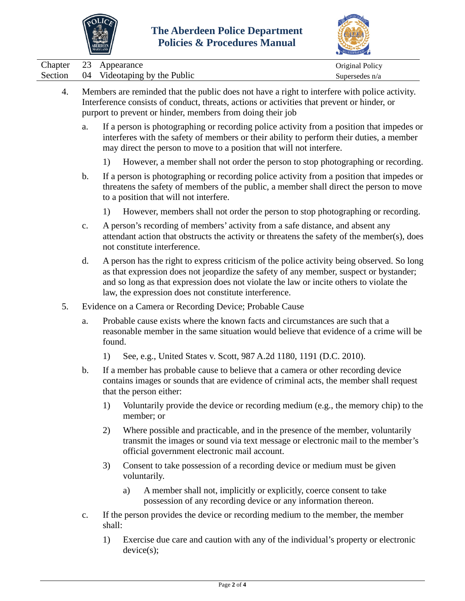

 $\overline{\phantom{a}}$ 

 $\overline{\phantom{0}}$ 



|                    |                                                                                                                                                                                                                                                            | <b>ADERDEEN</b><br>MARYLAND                                                                                                                                                       |                                                                                                                                                                                                                                                                                                                                          |                                                                                                                                                                                                                                                               |                                   |  |  |  |
|--------------------|------------------------------------------------------------------------------------------------------------------------------------------------------------------------------------------------------------------------------------------------------------|-----------------------------------------------------------------------------------------------------------------------------------------------------------------------------------|------------------------------------------------------------------------------------------------------------------------------------------------------------------------------------------------------------------------------------------------------------------------------------------------------------------------------------------|---------------------------------------------------------------------------------------------------------------------------------------------------------------------------------------------------------------------------------------------------------------|-----------------------------------|--|--|--|
| Chapter<br>Section | 23<br>04                                                                                                                                                                                                                                                   |                                                                                                                                                                                   | Appearance                                                                                                                                                                                                                                                                                                                               | Videotaping by the Public                                                                                                                                                                                                                                     | Original Policy<br>Supersedes n/a |  |  |  |
| 4.                 | Members are reminded that the public does not have a right to interfere with police activity.<br>Interference consists of conduct, threats, actions or activities that prevent or hinder, or<br>purport to prevent or hinder, members from doing their job |                                                                                                                                                                                   |                                                                                                                                                                                                                                                                                                                                          |                                                                                                                                                                                                                                                               |                                   |  |  |  |
|                    | a.                                                                                                                                                                                                                                                         |                                                                                                                                                                                   |                                                                                                                                                                                                                                                                                                                                          | If a person is photographing or recording police activity from a position that impedes or<br>interferes with the safety of members or their ability to perform their duties, a member<br>may direct the person to move to a position that will not interfere. |                                   |  |  |  |
|                    |                                                                                                                                                                                                                                                            | 1)                                                                                                                                                                                |                                                                                                                                                                                                                                                                                                                                          | However, a member shall not order the person to stop photographing or recording.                                                                                                                                                                              |                                   |  |  |  |
|                    | b.                                                                                                                                                                                                                                                         |                                                                                                                                                                                   | If a person is photographing or recording police activity from a position that impedes or<br>threatens the safety of members of the public, a member shall direct the person to move<br>to a position that will not interfere.                                                                                                           |                                                                                                                                                                                                                                                               |                                   |  |  |  |
|                    |                                                                                                                                                                                                                                                            | 1)                                                                                                                                                                                |                                                                                                                                                                                                                                                                                                                                          | However, members shall not order the person to stop photographing or recording.                                                                                                                                                                               |                                   |  |  |  |
|                    | $\mathbf{c}$ .                                                                                                                                                                                                                                             |                                                                                                                                                                                   | A person's recording of members' activity from a safe distance, and absent any<br>attendant action that obstructs the activity or threatens the safety of the member(s), does<br>not constitute interference.                                                                                                                            |                                                                                                                                                                                                                                                               |                                   |  |  |  |
|                    | d.                                                                                                                                                                                                                                                         |                                                                                                                                                                                   | A person has the right to express criticism of the police activity being observed. So long<br>as that expression does not jeopardize the safety of any member, suspect or bystander;<br>and so long as that expression does not violate the law or incite others to violate the<br>law, the expression does not constitute interference. |                                                                                                                                                                                                                                                               |                                   |  |  |  |
| 5.                 | Evidence on a Camera or Recording Device; Probable Cause                                                                                                                                                                                                   |                                                                                                                                                                                   |                                                                                                                                                                                                                                                                                                                                          |                                                                                                                                                                                                                                                               |                                   |  |  |  |
|                    | a.                                                                                                                                                                                                                                                         | Probable cause exists where the known facts and circumstances are such that a<br>reasonable member in the same situation would believe that evidence of a crime will be<br>found. |                                                                                                                                                                                                                                                                                                                                          |                                                                                                                                                                                                                                                               |                                   |  |  |  |
|                    |                                                                                                                                                                                                                                                            | 1)                                                                                                                                                                                |                                                                                                                                                                                                                                                                                                                                          | See, e.g., United States v. Scott, 987 A.2d 1180, 1191 (D.C. 2010).                                                                                                                                                                                           |                                   |  |  |  |
|                    | b.                                                                                                                                                                                                                                                         |                                                                                                                                                                                   |                                                                                                                                                                                                                                                                                                                                          | If a member has probable cause to believe that a camera or other recording device<br>contains images or sounds that are evidence of criminal acts, the member shall request<br>that the person either:                                                        |                                   |  |  |  |
|                    |                                                                                                                                                                                                                                                            | 1)                                                                                                                                                                                |                                                                                                                                                                                                                                                                                                                                          | Voluntarily provide the device or recording medium (e.g., the memory chip) to the<br>member; or                                                                                                                                                               |                                   |  |  |  |
|                    |                                                                                                                                                                                                                                                            | 2)                                                                                                                                                                                |                                                                                                                                                                                                                                                                                                                                          | Where possible and practicable, and in the presence of the member, voluntarily<br>transmit the images or sound via text message or electronic mail to the member's<br>official government electronic mail account.                                            |                                   |  |  |  |
|                    |                                                                                                                                                                                                                                                            | 3)                                                                                                                                                                                |                                                                                                                                                                                                                                                                                                                                          | Consent to take possession of a recording device or medium must be given<br>voluntarily.                                                                                                                                                                      |                                   |  |  |  |
|                    |                                                                                                                                                                                                                                                            |                                                                                                                                                                                   | a)                                                                                                                                                                                                                                                                                                                                       | A member shall not, implicitly or explicitly, coerce consent to take<br>possession of any recording device or any information thereon.                                                                                                                        |                                   |  |  |  |
|                    | c.                                                                                                                                                                                                                                                         | shall:                                                                                                                                                                            |                                                                                                                                                                                                                                                                                                                                          | If the person provides the device or recording medium to the member, the member                                                                                                                                                                               |                                   |  |  |  |

1) Exercise due care and caution with any of the individual's property or electronic device(s);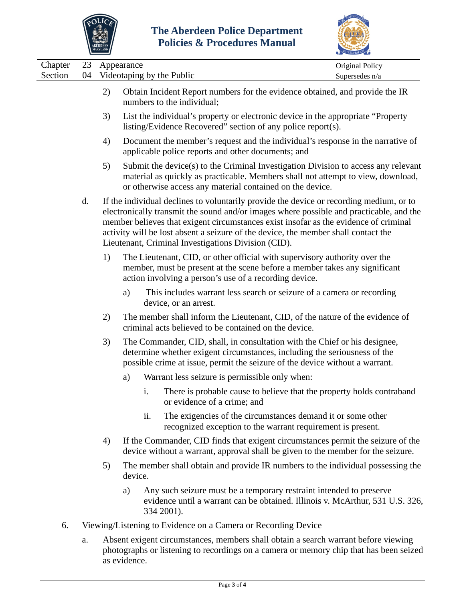



|                    |          |    |                                                                                                                                                                                                                                                                                                                                                                                                                         | CCREDITATION                      |
|--------------------|----------|----|-------------------------------------------------------------------------------------------------------------------------------------------------------------------------------------------------------------------------------------------------------------------------------------------------------------------------------------------------------------------------------------------------------------------------|-----------------------------------|
| Chapter<br>Section | 23<br>04 |    | Appearance<br>Videotaping by the Public                                                                                                                                                                                                                                                                                                                                                                                 | Original Policy<br>Supersedes n/a |
|                    |          | 2) | Obtain Incident Report numbers for the evidence obtained, and provide the IR<br>numbers to the individual;                                                                                                                                                                                                                                                                                                              |                                   |
|                    |          | 3) | List the individual's property or electronic device in the appropriate "Property"<br>listing/Evidence Recovered" section of any police report(s).                                                                                                                                                                                                                                                                       |                                   |
|                    |          | 4) | Document the member's request and the individual's response in the narrative of<br>applicable police reports and other documents; and                                                                                                                                                                                                                                                                                   |                                   |
|                    |          | 5) | Submit the device(s) to the Criminal Investigation Division to access any relevant<br>material as quickly as practicable. Members shall not attempt to view, download,<br>or otherwise access any material contained on the device.                                                                                                                                                                                     |                                   |
|                    | d.       |    | If the individual declines to voluntarily provide the device or recording medium, or to<br>electronically transmit the sound and/or images where possible and practicable, and the<br>member believes that exigent circumstances exist insofar as the evidence of criminal<br>activity will be lost absent a seizure of the device, the member shall contact the<br>Lieutenant, Criminal Investigations Division (CID). |                                   |
|                    |          | 1) | The Lieutenant, CID, or other official with supervisory authority over the<br>member, must be present at the scene before a member takes any significant<br>action involving a person's use of a recording device.                                                                                                                                                                                                      |                                   |
|                    |          |    | This includes warrant less search or seizure of a camera or recording<br>a)<br>device, or an arrest.                                                                                                                                                                                                                                                                                                                    |                                   |
|                    |          | 2) | The member shall inform the Lieutenant, CID, of the nature of the evidence of<br>criminal acts believed to be contained on the device.                                                                                                                                                                                                                                                                                  |                                   |
|                    |          | 3) | The Commander, CID, shall, in consultation with the Chief or his designee,<br>determine whether exigent circumstances, including the seriousness of the<br>possible crime at issue, permit the seizure of the device without a warrant.                                                                                                                                                                                 |                                   |
|                    |          |    | Warrant less seizure is permissible only when:<br>a)                                                                                                                                                                                                                                                                                                                                                                    |                                   |
|                    |          |    | There is probable cause to believe that the property holds contraband<br>i.<br>or evidence of a crime; and                                                                                                                                                                                                                                                                                                              |                                   |
|                    |          |    | The exigencies of the circumstances demand it or some other<br>ii.<br>recognized exception to the warrant requirement is present.                                                                                                                                                                                                                                                                                       |                                   |
|                    |          | 4) | If the Commander, CID finds that exigent circumstances permit the seizure of the<br>device without a warrant, approval shall be given to the member for the seizure.                                                                                                                                                                                                                                                    |                                   |
|                    |          | 5) | The member shall obtain and provide IR numbers to the individual possessing the<br>device.                                                                                                                                                                                                                                                                                                                              |                                   |
|                    |          |    | Any such seizure must be a temporary restraint intended to preserve<br>a)<br>evidence until a warrant can be obtained. Illinois v. McArthur, 531 U.S. 326,<br>334 2001).                                                                                                                                                                                                                                                |                                   |

- 6. Viewing/Listening to Evidence on a Camera or Recording Device
	- a. Absent exigent circumstances, members shall obtain a search warrant before viewing photographs or listening to recordings on a camera or memory chip that has been seized as evidence.